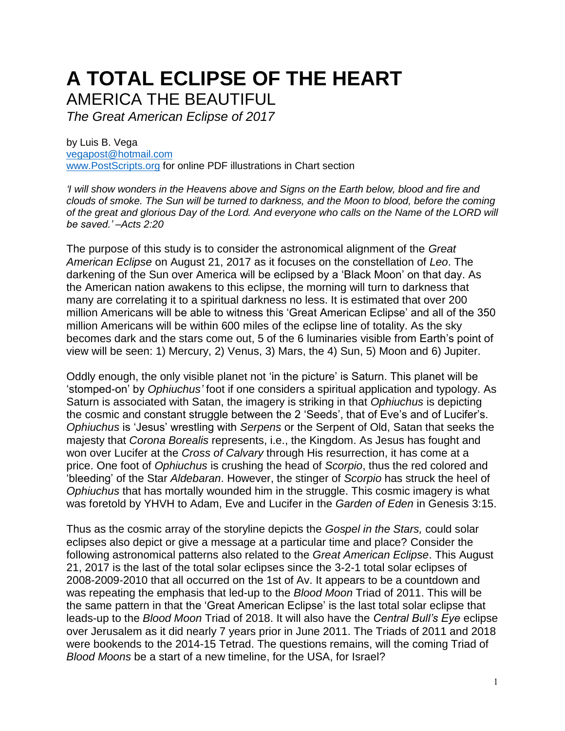## **A TOTAL ECLIPSE OF THE HEART** AMERICA THE BEAUTIFUL

*The Great American Eclipse of 2017*

by Luis B. Vega [vegapost@hotmail.com](mailto:vegapost@hotmail.com) [www.PostScripts.org](http://www.postscripts.org/) for online PDF illustrations in Chart section

*'I will show wonders in the Heavens above and Signs on the Earth below, blood and fire and clouds of smoke. The Sun will be turned to darkness, and the Moon to blood, before the coming of the great and glorious Day of the Lord. And everyone who calls on the Name of the LORD will be saved.' –Acts 2:20*

The purpose of this study is to consider the astronomical alignment of the *Great American Eclipse* on August 21, 2017 as it focuses on the constellation of *Leo*. The darkening of the Sun over America will be eclipsed by a 'Black Moon' on that day. As the American nation awakens to this eclipse, the morning will turn to darkness that many are correlating it to a spiritual darkness no less. It is estimated that over 200 million Americans will be able to witness this 'Great American Eclipse' and all of the 350 million Americans will be within 600 miles of the eclipse line of totality. As the sky becomes dark and the stars come out, 5 of the 6 luminaries visible from Earth's point of view will be seen: 1) Mercury, 2) Venus, 3) Mars, the 4) Sun, 5) Moon and 6) Jupiter.

Oddly enough, the only visible planet not 'in the picture' is Saturn. This planet will be 'stomped-on' by *Ophiuchus'* foot if one considers a spiritual application and typology. As Saturn is associated with Satan, the imagery is striking in that *Ophiuchus* is depicting the cosmic and constant struggle between the 2 'Seeds', that of Eve's and of Lucifer's. *Ophiuchus* is 'Jesus' wrestling with *Serpens* or the Serpent of Old, Satan that seeks the majesty that *Corona Borealis* represents, i.e., the Kingdom. As Jesus has fought and won over Lucifer at the *Cross of Calvary* through His resurrection, it has come at a price. One foot of *Ophiuchus* is crushing the head of *Scorpio*, thus the red colored and 'bleeding' of the Star *Aldebaran*. However, the stinger of *Scorpio* has struck the heel of *Ophiuchus* that has mortally wounded him in the struggle. This cosmic imagery is what was foretold by YHVH to Adam, Eve and Lucifer in the *Garden of Eden* in Genesis 3:15.

Thus as the cosmic array of the storyline depicts the *Gospel in the Stars,* could solar eclipses also depict or give a message at a particular time and place? Consider the following astronomical patterns also related to the *Great American Eclipse*. This August 21, 2017 is the last of the total solar eclipses since the 3-2-1 total solar eclipses of 2008-2009-2010 that all occurred on the 1st of Av. It appears to be a countdown and was repeating the emphasis that led-up to the *Blood Moon* Triad of 2011. This will be the same pattern in that the 'Great American Eclipse' is the last total solar eclipse that leads-up to the *Blood Moon* Triad of 2018. It will also have the *Central Bull's Eye* eclipse over Jerusalem as it did nearly 7 years prior in June 2011. The Triads of 2011 and 2018 were bookends to the 2014-15 Tetrad. The questions remains, will the coming Triad of *Blood Moons* be a start of a new timeline, for the USA, for Israel?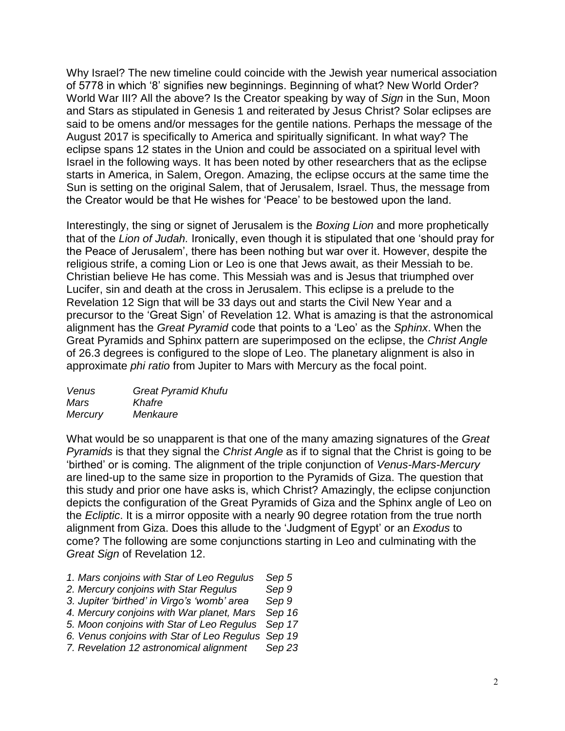Why Israel? The new timeline could coincide with the Jewish year numerical association of 5778 in which '8' signifies new beginnings. Beginning of what? New World Order? World War III? All the above? Is the Creator speaking by way of *Sign* in the Sun, Moon and Stars as stipulated in Genesis 1 and reiterated by Jesus Christ? Solar eclipses are said to be omens and/or messages for the gentile nations. Perhaps the message of the August 2017 is specifically to America and spiritually significant. In what way? The eclipse spans 12 states in the Union and could be associated on a spiritual level with Israel in the following ways. It has been noted by other researchers that as the eclipse starts in America, in Salem, Oregon. Amazing, the eclipse occurs at the same time the Sun is setting on the original Salem, that of Jerusalem, Israel. Thus, the message from the Creator would be that He wishes for 'Peace' to be bestowed upon the land.

Interestingly, the sing or signet of Jerusalem is the *Boxing Lion* and more prophetically that of the *Lion of Judah.* Ironically, even though it is stipulated that one 'should pray for the Peace of Jerusalem', there has been nothing but war over it. However, despite the religious strife, a coming Lion or Leo is one that Jews await, as their Messiah to be. Christian believe He has come. This Messiah was and is Jesus that triumphed over Lucifer, sin and death at the cross in Jerusalem. This eclipse is a prelude to the Revelation 12 Sign that will be 33 days out and starts the Civil New Year and a precursor to the 'Great Sign' of Revelation 12. What is amazing is that the astronomical alignment has the *Great Pyramid* code that points to a 'Leo' as the *Sphinx*. When the Great Pyramids and Sphinx pattern are superimposed on the eclipse, the *Christ Angle* of 26.3 degrees is configured to the slope of Leo. The planetary alignment is also in approximate *phi ratio* from Jupiter to Mars with Mercury as the focal point.

| Venus          | <b>Great Pyramid Khufu</b> |
|----------------|----------------------------|
| Mars           | Khafre                     |
| <b>Mercury</b> | Menkaure                   |

What would be so unapparent is that one of the many amazing signatures of the *Great Pyramids* is that they signal the *Christ Angle* as if to signal that the Christ is going to be 'birthed' or is coming. The alignment of the triple conjunction of *Venus-Mars-Mercury* are lined-up to the same size in proportion to the Pyramids of Giza. The question that this study and prior one have asks is, which Christ? Amazingly, the eclipse conjunction depicts the configuration of the Great Pyramids of Giza and the Sphinx angle of Leo on the *Ecliptic*. It is a mirror opposite with a nearly 90 degree rotation from the true north alignment from Giza. Does this allude to the 'Judgment of Egypt' or an *Exodus* to come? The following are some conjunctions starting in Leo and culminating with the *Great Sign* of Revelation 12.

- *1. Mars conjoins with Star of Leo Regulus Sep 5*
- *2. Mercury conjoins with Star Regulus Sep 9*
- *3. Jupiter 'birthed' in Virgo's 'womb' area Sep 9*
- *4. Mercury conjoins with War planet, Mars Sep 16*
- *5. Moon conjoins with Star of Leo Regulus Sep 17*
- *6. Venus conjoins with Star of Leo Regulus Sep 19*
- *7. Revelation 12 astronomical alignment Sep 23*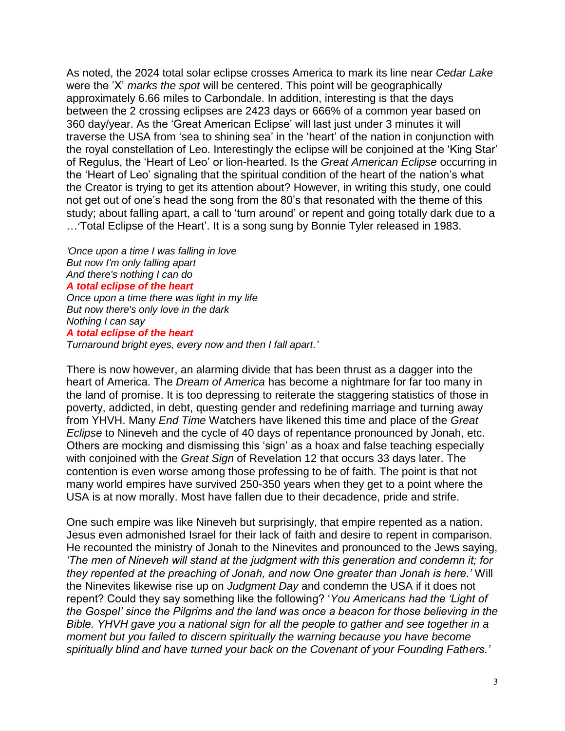As noted, the 2024 total solar eclipse crosses America to mark its line near *Cedar Lake* were the 'X' *marks the spot* will be centered. This point will be geographically approximately 6.66 miles to Carbondale. In addition, interesting is that the days between the 2 crossing eclipses are 2423 days or 666% of a common year based on 360 day/year. As the 'Great American Eclipse' will last just under 3 minutes it will traverse the USA from 'sea to shining sea' in the 'heart' of the nation in conjunction with the royal constellation of Leo. Interestingly the eclipse will be conjoined at the 'King Star' of Regulus, the 'Heart of Leo' or lion-hearted. Is the *Great American Eclipse* occurring in the 'Heart of Leo' signaling that the spiritual condition of the heart of the nation's what the Creator is trying to get its attention about? However, in writing this study, one could not get out of one's head the song from the 80's that resonated with the theme of this study; about falling apart, a call to 'turn around' or repent and going totally dark due to a …'Total Eclipse of the Heart'. It is a song sung by Bonnie Tyler released in 1983.

*'Once upon a time I was falling in love But now I'm only falling apart And there's nothing I can do A total eclipse of the heart Once upon a time there was light in my life But now there's only love in the dark Nothing I can say A total eclipse of the heart Turnaround bright eyes, every now and then I fall apart.'*

There is now however, an alarming divide that has been thrust as a dagger into the heart of America. The *Dream of America* has become a nightmare for far too many in the land of promise. It is too depressing to reiterate the staggering statistics of those in poverty, addicted, in debt, questing gender and redefining marriage and turning away from YHVH. Many *End Time* Watchers have likened this time and place of the *Great Eclipse* to Nineveh and the cycle of 40 days of repentance pronounced by Jonah, etc. Others are mocking and dismissing this 'sign' as a hoax and false teaching especially with conjoined with the *Great Sign* of Revelation 12 that occurs 33 days later. The contention is even worse among those professing to be of faith. The point is that not many world empires have survived 250-350 years when they get to a point where the USA is at now morally. Most have fallen due to their decadence, pride and strife.

One such empire was like Nineveh but surprisingly, that empire repented as a nation. Jesus even admonished Israel for their lack of faith and desire to repent in comparison. He recounted the ministry of Jonah to the Ninevites and pronounced to the Jews saying, *'The men of Nineveh will stand at the judgment with this generation and condemn it; for they repented at the preaching of Jonah, and now One greater than Jonah is here.'* Will the Ninevites likewise rise up on *Judgment Day* and condemn the USA if it does not repent? Could they say something like the following? '*You Americans had the 'Light of the Gospel' since the Pilgrims and the land was once a beacon for those believing in the Bible. YHVH gave you a national sign for all the people to gather and see together in a moment but you failed to discern spiritually the warning because you have become spiritually blind and have turned your back on the Covenant of your Founding Fathers.'*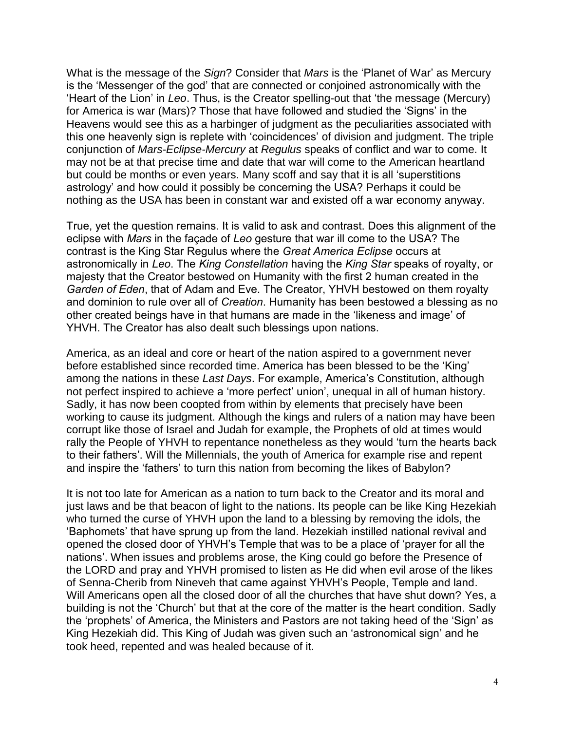What is the message of the *Sign*? Consider that *Mars* is the 'Planet of War' as Mercury is the 'Messenger of the god' that are connected or conjoined astronomically with the 'Heart of the Lion' in *Leo*. Thus, is the Creator spelling-out that 'the message (Mercury) for America is war (Mars)? Those that have followed and studied the 'Signs' in the Heavens would see this as a harbinger of judgment as the peculiarities associated with this one heavenly sign is replete with 'coincidences' of division and judgment. The triple conjunction of *Mars-Eclipse-Mercury* at *Regulus* speaks of conflict and war to come. It may not be at that precise time and date that war will come to the American heartland but could be months or even years. Many scoff and say that it is all 'superstitions astrology' and how could it possibly be concerning the USA? Perhaps it could be nothing as the USA has been in constant war and existed off a war economy anyway.

True, yet the question remains. It is valid to ask and contrast. Does this alignment of the eclipse with *Mars* in the façade of *Leo* gesture that war ill come to the USA? The contrast is the King Star Regulus where the *Great America Eclipse* occurs at astronomically in *Leo*. The *King Constellation* having the *King Star* speaks of royalty, or majesty that the Creator bestowed on Humanity with the first 2 human created in the *Garden of Eden*, that of Adam and Eve. The Creator, YHVH bestowed on them royalty and dominion to rule over all of *Creation*. Humanity has been bestowed a blessing as no other created beings have in that humans are made in the 'likeness and image' of YHVH. The Creator has also dealt such blessings upon nations.

America, as an ideal and core or heart of the nation aspired to a government never before established since recorded time. America has been blessed to be the 'King' among the nations in these *Last Days*. For example, America's Constitution, although not perfect inspired to achieve a 'more perfect' union', unequal in all of human history. Sadly, it has now been coopted from within by elements that precisely have been working to cause its judgment. Although the kings and rulers of a nation may have been corrupt like those of Israel and Judah for example, the Prophets of old at times would rally the People of YHVH to repentance nonetheless as they would 'turn the hearts back to their fathers'. Will the Millennials, the youth of America for example rise and repent and inspire the 'fathers' to turn this nation from becoming the likes of Babylon?

It is not too late for American as a nation to turn back to the Creator and its moral and just laws and be that beacon of light to the nations. Its people can be like King Hezekiah who turned the curse of YHVH upon the land to a blessing by removing the idols, the 'Baphomets' that have sprung up from the land. Hezekiah instilled national revival and opened the closed door of YHVH's Temple that was to be a place of 'prayer for all the nations'. When issues and problems arose, the King could go before the Presence of the LORD and pray and YHVH promised to listen as He did when evil arose of the likes of Senna-Cherib from Nineveh that came against YHVH's People, Temple and land. Will Americans open all the closed door of all the churches that have shut down? Yes, a building is not the 'Church' but that at the core of the matter is the heart condition. Sadly the 'prophets' of America, the Ministers and Pastors are not taking heed of the 'Sign' as King Hezekiah did. This King of Judah was given such an 'astronomical sign' and he took heed, repented and was healed because of it.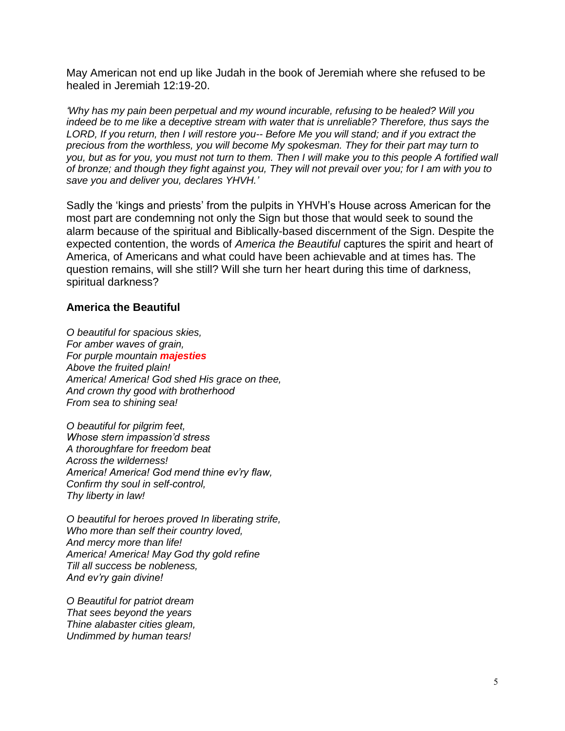May American not end up like Judah in the book of Jeremiah where she refused to be healed in Jeremiah 12:19-20.

*'Why has my pain been perpetual and my wound incurable, refusing to be healed? Will you indeed be to me like a deceptive stream with water that is unreliable? Therefore, thus says the LORD, If you return, then I will restore you-- Before Me you will stand; and if you extract the precious from the worthless, you will become My spokesman. They for their part may turn to you, but as for you, you must not turn to them. Then I will make you to this people A fortified wall of bronze; and though they fight against you, They will not prevail over you; for I am with you to save you and deliver you, declares YHVH.'*

Sadly the 'kings and priests' from the pulpits in YHVH's House across American for the most part are condemning not only the Sign but those that would seek to sound the alarm because of the spiritual and Biblically-based discernment of the Sign. Despite the expected contention, the words of *America the Beautiful* captures the spirit and heart of America, of Americans and what could have been achievable and at times has. The question remains, will she still? Will she turn her heart during this time of darkness, spiritual darkness?

## **America the Beautiful**

*O beautiful for spacious skies, For amber waves of grain, For purple mountain majesties Above the fruited plain! America! America! God shed His grace on thee, And crown thy good with brotherhood From sea to shining sea!*

*O beautiful for pilgrim feet, Whose stern impassion'd stress A thoroughfare for freedom beat Across the wilderness! America! America! God mend thine ev'ry flaw, Confirm thy soul in self-control, Thy liberty in law!*

*O beautiful for heroes proved In liberating strife, Who more than self their country loved, And mercy more than life! America! America! May God thy gold refine Till all success be nobleness, And ev'ry gain divine!*

*O Beautiful for patriot dream That sees beyond the years Thine alabaster cities gleam, Undimmed by human tears!*